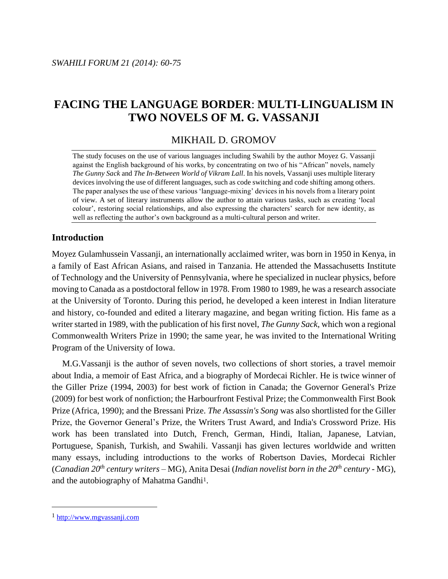# **FACING THE LANGUAGE BORDER**: **MULTI**-**LINGUALISM IN TWO NOVELS OF M. G. VASSANJI**

## MIKHAIL D. GROMOV

The study focuses on the use of various languages including Swahili by the author Moyez G. Vassanji against the English background of his works, by concentrating on two of his "African" novels, namely *The Gunny Sack* and *The In-Between World of Vikram Lall*. In his novels, Vassanji uses multiple literary devices involving the use of different languages, such as code switching and code shifting among others. The paper analyses the use of these various 'language-mixing' devices in his novels from a literary point of view. A set of literary instruments allow the author to attain various tasks, such as creating 'local colour', restoring social relationships, and also expressing the characters' search for new identity, as well as reflecting the author's own background as a multi-cultural person and writer.

## **Introduction**

Moyez Gulamhussein Vassanji, an internationally acclaimed writer, was born in 1950 in Kenya, in a family of East African Asians, and raised in Tanzania. He attended the [Massachusetts Institute](http://en.wikipedia.org/wiki/Massachusetts_Institute_of_Technology)  [of Technology](http://en.wikipedia.org/wiki/Massachusetts_Institute_of_Technology) and the [University of Pennsylvania,](http://en.wikipedia.org/wiki/University_of_Pennsylvania) where he specialized in nuclear physics, before moving to Canada as a postdoctoral fellow in 1978. From 1980 to 1989, he was a research associate at the [University of Toronto.](http://en.wikipedia.org/wiki/University_of_Toronto) During this period, he developed a keen interest in Indian literature and history, co-founded and edited a literary magazine, and began writing fiction. His fame as a writer started in 1989, with the publication of his first novel, *The Gunny Sack*, which won a regional [Commonwealth Writers Prize](http://en.wikipedia.org/wiki/Commonwealth_Writers_Prize) in 1990; the same year, he was invited to the [International Writing](http://en.wikipedia.org/wiki/International_Writing_Program)  [Program](http://en.wikipedia.org/wiki/International_Writing_Program) of the [University of Iowa.](http://en.wikipedia.org/wiki/University_of_Iowa)

M.G.Vassanji is the author of seven novels, two collections of short stories, a travel memoir about India, a memoir of East Africa, and a biography of Mordecai Richler. He is twice winner of the Giller Prize (1994, 2003) for best work of fiction in Canada; the Governor General's Prize (2009) for best work of nonfiction; the Harbourfront Festival Prize; the Commonwealth First Book Prize (Africa, 1990); and the Bressani Prize. *The Assassin's Song* was also shortlisted for the Giller Prize, the Governor General's Prize, the Writers Trust Award, and India's Crossword Prize. His work has been translated into Dutch, French, German, Hindi, Italian, Japanese, Latvian, Portuguese, Spanish, Turkish, and Swahili. Vassanji has given lectures worldwide and written many essays, including introductions to the works of Robertson Davies, Mordecai Richler (*Canadian 20th century writers –* MG), Anita Desai (*Indian novelist born in the 20th century -* MG), and the autobiography of Mahatma Gandhi<sup>1</sup>.

 $\overline{a}$ 

<sup>1</sup> http://www.mgvassanji.com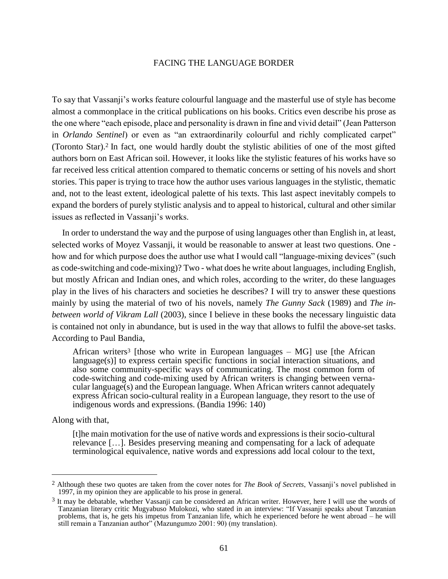To say that Vassanji's works feature colourful language and the masterful use of style has become almost a commonplace in the critical publications on his books. Critics even describe his prose as the one where "each episode, place and personality is drawn in fine and vivid detail" (Jean Patterson in *Orlando Sentinel*) or even as "an extraordinarily colourful and richly complicated carpet" (Toronto Star). <sup>2</sup> In fact, one would hardly doubt the stylistic abilities of one of the most gifted authors born on East African soil. However, it looks like the stylistic features of his works have so far received less critical attention compared to thematic concerns or setting of his novels and short stories. This paper is trying to trace how the author uses various languages in the stylistic, thematic and, not to the least extent, ideological palette of his texts. This last aspect inevitably compels to expand the borders of purely stylistic analysis and to appeal to historical, cultural and other similar issues as reflected in Vassanji's works.

In order to understand the way and the purpose of using languages other than English in, at least, selected works of Moyez Vassanji, it would be reasonable to answer at least two questions. One how and for which purpose does the author use what I would call "language-mixing devices" (such as code-switching and code-mixing)? Two - what does he write about languages, including English, but mostly African and Indian ones, and which roles, according to the writer, do these languages play in the lives of his characters and societies he describes? I will try to answer these questions mainly by using the material of two of his novels, namely *The Gunny Sack* (1989) and *The inbetween world of Vikram Lall* (2003), since I believe in these books the necessary linguistic data is contained not only in abundance, but is used in the way that allows to fulfil the above-set tasks. According to Paul Bandia,

African writers<sup>3</sup> [those who write in European languages  $-$  MG] use [the African  $lange(s)$  to express certain specific functions in social interaction situations, and also some community-specific ways of communicating. The most common form of code-switching and code-mixing used by African writers is changing between vernacular language(s) and the European language. When African writers cannot adequately express African socio-cultural reality in a European language, they resort to the use of indigenous words and expressions. (Bandia 1996: 140)

Along with that,

 $\overline{a}$ 

[t]he main motivation for the use of native words and expressions is their socio-cultural relevance […]. Besides preserving meaning and compensating for a lack of adequate terminological equivalence, native words and expressions add local colour to the text,

<sup>2</sup> Although these two quotes are taken from the cover notes for *The Book of Secrets*, Vassanji's novel published in 1997, in my opinion they are applicable to his prose in general.

<sup>3</sup> It may be debatable, whether Vassanji can be considered an African writer. However, here I will use the words of Tanzanian literary critic Mugyabuso Mulokozi, who stated in an interview: "If Vassanji speaks about Tanzanian problems, that is, he gets his impetus from Tanzanian life, which he experienced before he went abroad – he will still remain a Tanzanian author" (Mazungumzo 2001: 90) (my translation).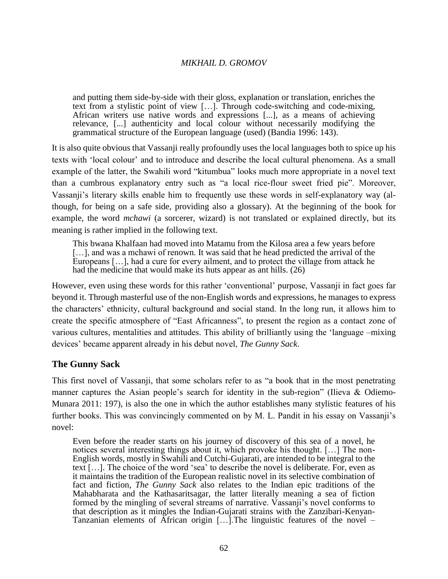and putting them side-by-side with their gloss, explanation or translation, enriches the text from a stylistic point of view […]. Through code-switching and code-mixing, African writers use native words and expressions [...], as a means of achieving relevance, [...] authenticity and local colour without necessarily modifying the grammatical structure of the European language (used) (Bandia 1996: 143).

It is also quite obvious that Vassanji really profoundly uses the local languages both to spice up his texts with 'local colour' and to introduce and describe the local cultural phenomena. As a small example of the latter, the Swahili word "kitumbua" looks much more appropriate in a novel text than a cumbrous explanatory entry such as "a local rice-flour sweet fried pie". Moreover, Vassanji's literary skills enable him to frequently use these words in self-explanatory way (although, for being on a safe side, providing also a glossary). At the beginning of the book for example, the word *mchawi* (a sorcerer, wizard) is not translated or explained directly, but its meaning is rather implied in the following text.

This bwana Khalfaan had moved into Matamu from the Kilosa area a few years before [...], and was a mchawi of renown. It was said that he head predicted the arrival of the Europeans […], had a cure for every ailment, and to protect the village from attack he had the medicine that would make its huts appear as ant hills. (26)

However, even using these words for this rather 'conventional' purpose, Vassanji in fact goes far beyond it. Through masterful use of the non-English words and expressions, he manages to express the characters' ethnicity, cultural background and social stand. In the long run, it allows him to create the specific atmosphere of "East Africanness", to present the region as a contact zone of various cultures, mentalities and attitudes. This ability of brilliantly using the 'language –mixing devices' became apparent already in his debut novel, *The Gunny Sack*.

## **The Gunny Sack**

This first novel of Vassanji, that some scholars refer to as "a book that in the most penetrating manner captures the Asian people's search for identity in the sub-region" (Ilieva & Odiemo-Munara 2011: 197), is also the one in which the author establishes many stylistic features of his further books. This was convincingly commented on by M. L. Pandit in his essay on Vassanji's novel:

Even before the reader starts on his journey of discovery of this sea of a novel, he notices several interesting things about it, which provoke his thought. […] The non-English words, mostly in Swahili and Cutchi-Gujarati, are intended to be integral to the text […]. The choice of the word 'sea' to describe the novel is deliberate. For, even as it maintains the tradition of the European realistic novel in its selective combination of fact and fiction, *The Gunny Sack* also relates to the Indian epic traditions of the Mahabharata and the Kathasaritsagar, the latter literally meaning a sea of fiction formed by the mingling of several streams of narrative. Vassanji's novel conforms to that description as it mingles the Indian-Gujarati strains with the Zanzibari-Kenyan-Tanzanian elements of African origin […].The linguistic features of the novel –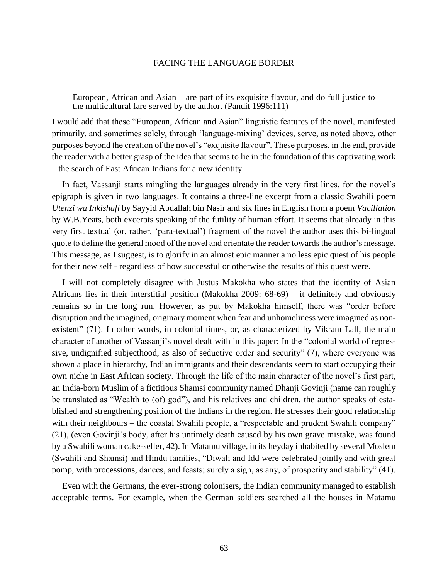European, African and Asian – are part of its exquisite flavour, and do full justice to the multicultural fare served by the author. (Pandit 1996:111)

I would add that these "European, African and Asian" linguistic features of the novel, manifested primarily, and sometimes solely, through 'language-mixing' devices, serve, as noted above, other purposes beyond the creation of the novel's "exquisite flavour". These purposes, in the end, provide the reader with a better grasp of the idea that seems to lie in the foundation of this captivating work – the search of East African Indians for a new identity.

In fact, Vassanji starts mingling the languages already in the very first lines, for the novel's epigraph is given in two languages. It contains a three-line excerpt from a classic Swahili poem *Utenzi wa Inkishafi* by Sayyid Abdallah bin Nasir and six lines in English from a poem *Vacillation* by W.B.Yeats, both excerpts speaking of the futility of human effort. It seems that already in this very first textual (or, rather, 'para-textual') fragment of the novel the author uses this bi-lingual quote to define the general mood of the novel and orientate the reader towards the author's message. This message, as I suggest, is to glorify in an almost epic manner a no less epic quest of his people for their new self - regardless of how successful or otherwise the results of this quest were.

I will not completely disagree with Justus Makokha who states that the identity of Asian Africans lies in their interstitial position (Makokha 2009: 68-69) – it definitely and obviously remains so in the long run. However, as put by Makokha himself, there was "order before disruption and the imagined, originary moment when fear and unhomeliness were imagined as nonexistent" (71). In other words, in colonial times, or, as characterized by Vikram Lall, the main character of another of Vassanji's novel dealt with in this paper: In the "colonial world of repressive, undignified subjecthood, as also of seductive order and security" (7), where everyone was shown a place in hierarchy, Indian immigrants and their descendants seem to start occupying their own niche in East African society. Through the life of the main character of the novel's first part, an India-born Muslim of a fictitious Shamsi community named Dhanji Govinji (name can roughly be translated as "Wealth to (of) god"), and his relatives and children, the author speaks of established and strengthening position of the Indians in the region. He stresses their good relationship with their neighbours – the coastal Swahili people, a "respectable and prudent Swahili company" (21), (even Govinji's body, after his untimely death caused by his own grave mistake, was found by a Swahili woman cake-seller, 42). In Matamu village, in its heyday inhabited by several Moslem (Swahili and Shamsi) and Hindu families, "Diwali and Idd were celebrated jointly and with great pomp, with processions, dances, and feasts; surely a sign, as any, of prosperity and stability" (41).

Even with the Germans, the ever-strong colonisers, the Indian community managed to establish acceptable terms. For example, when the German soldiers searched all the houses in Matamu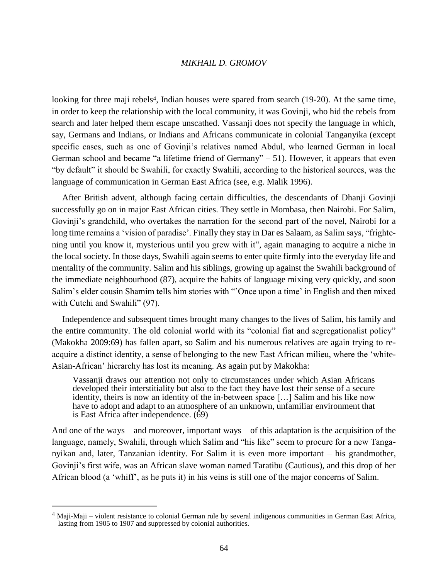looking for three maji rebels<sup>4</sup>, Indian houses were spared from search (19-20). At the same time, in order to keep the relationship with the local community, it was Govinji, who hid the rebels from search and later helped them escape unscathed. Vassanji does not specify the language in which, say, Germans and Indians, or Indians and Africans communicate in colonial Tanganyika (except specific cases, such as one of Govinji's relatives named Abdul, who learned German in local German school and became "a lifetime friend of Germany" – 51). However, it appears that even "by default" it should be Swahili, for exactly Swahili, according to the historical sources, was the language of communication in German East Africa (see, e.g. Malik 1996).

After British advent, although facing certain difficulties, the descendants of Dhanji Govinji successfully go on in major East African cities. They settle in Mombasa, then Nairobi. For Salim, Govinji's grandchild, who overtakes the narration for the second part of the novel, Nairobi for a long time remains a 'vision of paradise'. Finally they stay in Dar es Salaam, as Salim says, "frightening until you know it, mysterious until you grew with it", again managing to acquire a niche in the local society. In those days, Swahili again seems to enter quite firmly into the everyday life and mentality of the community. Salim and his siblings, growing up against the Swahili background of the immediate neighbourhood (87), acquire the habits of language mixing very quickly, and soon Salim's elder cousin Shamim tells him stories with "'Once upon a time' in English and then mixed with Cutchi and Swahili" (97).

Independence and subsequent times brought many changes to the lives of Salim, his family and the entire community. The old colonial world with its "colonial fiat and segregationalist policy" (Makokha 2009:69) has fallen apart, so Salim and his numerous relatives are again trying to reacquire a distinct identity, a sense of belonging to the new East African milieu, where the 'white-Asian-African' hierarchy has lost its meaning. As again put by Makokha:

Vassanji draws our attention not only to circumstances under which Asian Africans developed their interstitiality but also to the fact they have lost their sense of a secure identity, theirs is now an identity of the in-between space […] Salim and his like now have to adopt and adapt to an atmosphere of an unknown, unfamiliar environment that is East Africa after independence. (69)

And one of the ways – and moreover, important ways – of this adaptation is the acquisition of the language, namely, Swahili, through which Salim and "his like" seem to procure for a new Tanganyikan and, later, Tanzanian identity. For Salim it is even more important – his grandmother, Govinji's first wife, was an African slave woman named Taratibu (Cautious), and this drop of her African blood (a 'whiff', as he puts it) in his veins is still one of the major concerns of Salim.

 $\overline{a}$ 

 $4$  Maji-Maji – violent resistance to colonial German rule by several indigenous communities in [German East Africa,](http://en.wikipedia.org/wiki/German_East_Africa) lasting from 1905 to 1907 and suppressed by colonial authorities.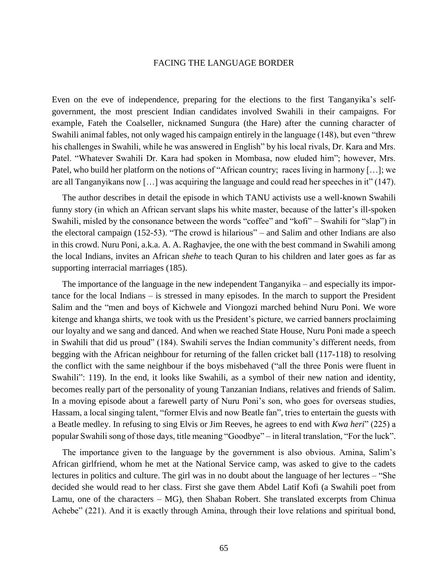Even on the eve of independence, preparing for the elections to the first Tanganyika's selfgovernment, the most prescient Indian candidates involved Swahili in their campaigns. For example, Fateh the Coalseller, nicknamed Sungura (the Hare) after the cunning character of Swahili animal fables, not only waged his campaign entirely in the language (148), but even "threw his challenges in Swahili, while he was answered in English" by his local rivals, Dr. Kara and Mrs. Patel. "Whatever Swahili Dr. Kara had spoken in Mombasa, now eluded him"; however, Mrs. Patel, who build her platform on the notions of "African country; races living in harmony […]; we are all Tanganyikans now […] was acquiring the language and could read her speeches in it" (147).

The author describes in detail the episode in which TANU activists use a well-known Swahili funny story (in which an African servant slaps his white master, because of the latter's ill-spoken Swahili, misled by the consonance between the words "coffee" and "kofi" – Swahili for "slap") in the electoral campaign (152-53). "The crowd is hilarious" – and Salim and other Indians are also in this crowd. Nuru Poni, a.k.a. A. A. Raghavjee, the one with the best command in Swahili among the local Indians, invites an African *shehe* to teach Quran to his children and later goes as far as supporting interracial marriages (185).

The importance of the language in the new independent Tanganyika – and especially its importance for the local Indians – is stressed in many episodes. In the march to support the President Salim and the "men and boys of Kichwele and Viongozi marched behind Nuru Poni. We wore kitenge and khanga shirts, we took with us the President's picture, we carried banners proclaiming our loyalty and we sang and danced. And when we reached State House, Nuru Poni made a speech in Swahili that did us proud" (184). Swahili serves the Indian community's different needs, from begging with the African neighbour for returning of the fallen cricket ball (117-118) to resolving the conflict with the same neighbour if the boys misbehaved ("all the three Ponis were fluent in Swahili": 119). In the end, it looks like Swahili, as a symbol of their new nation and identity, becomes really part of the personality of young Tanzanian Indians, relatives and friends of Salim. In a moving episode about a farewell party of Nuru Poni's son, who goes for overseas studies, Hassam, a local singing talent, "former Elvis and now Beatle fan", tries to entertain the guests with a Beatle medley. In refusing to sing Elvis or Jim Reeves, he agrees to end with *Kwa heri*" (225) a popular Swahili song of those days, title meaning "Goodbye" – in literal translation, "For the luck".

The importance given to the language by the government is also obvious. Amina, Salim's African girlfriend, whom he met at the National Service camp, was asked to give to the cadets lectures in politics and culture. The girl was in no doubt about the language of her lectures – "She decided she would read to her class. First she gave them Abdel Latif Kofi (a Swahili poet from Lamu, one of the characters – MG), then Shaban Robert. She translated excerpts from Chinua Achebe" (221). And it is exactly through Amina, through their love relations and spiritual bond,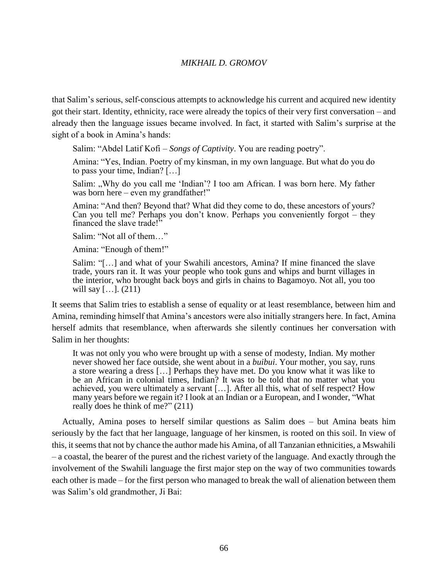that Salim's serious, self-conscious attempts to acknowledge his current and acquired new identity got their start. Identity, ethnicity, race were already the topics of their very first conversation – and already then the language issues became involved. In fact, it started with Salim's surprise at the sight of a book in Amina's hands:

Salim: "Abdel Latif Kofi – *Songs of Captivity*. You are reading poetry".

Amina: "Yes, Indian. Poetry of my kinsman, in my own language. But what do you do to pass your time, Indian?  $[\dots]$ 

Salim: "Why do you call me 'Indian'? I too am African. I was born here. My father was born here – even my grandfather!"

Amina: "And then? Beyond that? What did they come to do, these ancestors of yours? Can you tell me? Perhaps you don't know. Perhaps you conveniently forgot – they financed the slave trade!"

Salim: "Not all of them…"

Amina: "Enough of them!"

Salim: "[…] and what of your Swahili ancestors, Amina? If mine financed the slave trade, yours ran it. It was your people who took guns and whips and burnt villages in the interior, who brought back boys and girls in chains to Bagamoyo. Not all, you too will say [...].  $(211)$ 

It seems that Salim tries to establish a sense of equality or at least resemblance, between him and Amina, reminding himself that Amina's ancestors were also initially strangers here. In fact, Amina herself admits that resemblance, when afterwards she silently continues her conversation with Salim in her thoughts:

It was not only you who were brought up with a sense of modesty, Indian. My mother never showed her face outside, she went about in a *buibui*. Your mother, you say, runs a store wearing a dress […] Perhaps they have met. Do you know what it was like to be an African in colonial times, Indian? It was to be told that no matter what you achieved, you were ultimately a servant […]. After all this, what of self respect? How many years before we regain it? I look at an Indian or a European, and I wonder, "What really does he think of me?" (211)

Actually, Amina poses to herself similar questions as Salim does – but Amina beats him seriously by the fact that her language, language of her kinsmen, is rooted on this soil. In view of this, it seems that not by chance the author made his Amina, of all Tanzanian ethnicities, a Mswahili – a coastal, the bearer of the purest and the richest variety of the language. And exactly through the involvement of the Swahili language the first major step on the way of two communities towards each other is made – for the first person who managed to break the wall of alienation between them was Salim's old grandmother, Ji Bai: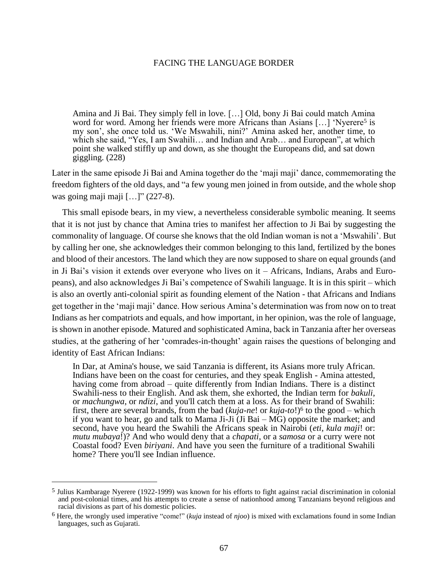Amina and Ji Bai. They simply fell in love. […] Old, bony Ji Bai could match Amina word for word. Among her friends were more Africans than Asians [...] 'Nyerere<sup>5</sup> is my son', she once told us. 'We Mswahili, nini?' Amina asked her, another time, to which she said, "Yes, I am Swahili… and Indian and Arab… and European", at which point she walked stiffly up and down, as she thought the Europeans did, and sat down giggling. (228)

Later in the same episode Ji Bai and Amina together do the 'maji maji' dance, commemorating the freedom fighters of the old days, and "a few young men joined in from outside, and the whole shop was going maji maji  $[\dots]$ " (227-8).

This small episode bears, in my view, a nevertheless considerable symbolic meaning. It seems that it is not just by chance that Amina tries to manifest her affection to Ji Bai by suggesting the commonality of language. Of course she knows that the old Indian woman is not a 'Mswahili'. But by calling her one, she acknowledges their common belonging to this land, fertilized by the bones and blood of their ancestors. The land which they are now supposed to share on equal grounds (and in Ji Bai's vision it extends over everyone who lives on it – Africans, Indians, Arabs and Europeans), and also acknowledges Ji Bai's competence of Swahili language. It is in this spirit – which is also an overtly anti-colonial spirit as founding element of the Nation - that Africans and Indians get together in the 'maji maji' dance. How serious Amina's determination was from now on to treat Indians as her compatriots and equals, and how important, in her opinion, was the role of language, is shown in another episode. Matured and sophisticated Amina, back in Tanzania after her overseas studies, at the gathering of her 'comrades-in-thought' again raises the questions of belonging and identity of East African Indians:

In Dar, at Amina's house, we said Tanzania is different, its Asians more truly African. Indians have been on the coast for centuries, and they speak English - Amina attested, having come from abroad – quite differently from Indian Indians. There is a distinct Swahili-ness to their English. And ask them, she exhorted, the Indian term for *bakuli*, or *machungwa*, or *ndizi*, and you'll catch them at a loss. As for their brand of Swahili: first, there are several brands, from the bad (*kuja-ne*! or *kuja-to*!)<sup>6</sup> to the good – which if you want to hear, go and talk to Mama Ji-Ji (Ji Bai – MG) opposite the market; and second, have you heard the Swahili the Africans speak in Nairobi (*eti, kula maji*! or: *mutu mubaya*!)? And who would deny that a *chapati*, or a *samosa* or a curry were not Coastal food? Even *biriyani*. And have you seen the furniture of a traditional Swahili home? There you'll see Indian influence.

 $\overline{a}$ 

<sup>5</sup> Julius Kambarage Nyerere (1922-1999) was known for his efforts to fight against racial discrimination in colonial and post-colonial times, and his attempts to create a sense of nationhood among Tanzanians beyond religious and racial divisions as part of his domestic policies.

<sup>6</sup> Here, the wrongly used imperative "come!" (*kuja* instead of *njoo*) is mixed with exclamations found in some Indian languages, such as Gujarati.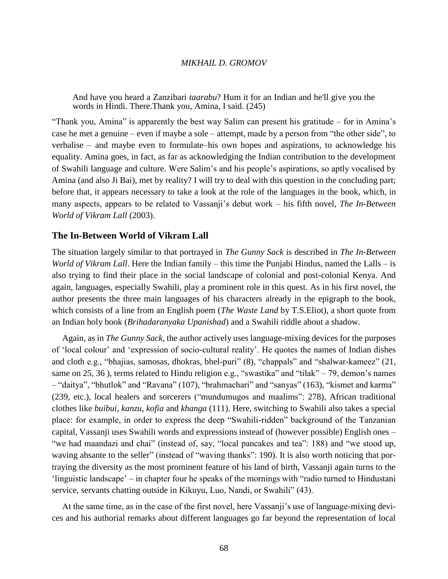And have you heard a Zanzibari *taarabu*? Hum it for an Indian and he'll give you the words in Hindi. There.Thank you, Amina, I said. (245)

"Thank you, Amina" is apparently the best way Salim can present his gratitude – for in Amina's case he met a genuine – even if maybe a sole – attempt, made by a person from "the other side", to verbalise – and maybe even to formulate–his own hopes and aspirations, to acknowledge his equality. Amina goes, in fact, as far as acknowledging the Indian contribution to the development of Swahili language and culture. Were Salim's and his people's aspirations, so aptly vocalised by Amina (and also Ji Bai), met by reality? I will try to deal with this question in the concluding part; before that, it appears necessary to take a look at the role of the languages in the book, which, in many aspects, appears to be related to Vassanji's debut work – his fifth novel, *The In-Between World of Vikram Lall* (2003).

#### **The In-Between World of Vikram Lall**

The situation largely similar to that portrayed in *The Gunny Sack* is described in *The In-Between World of Vikram Lall*. Here the Indian family – this time the Punjabi Hindus, named the Lalls – is also trying to find their place in the social landscape of colonial and post-colonial Kenya. And again, languages, especially Swahili, play a prominent role in this quest. As in his first novel, the author presents the three main languages of his characters already in the epigraph to the book, which consists of a line from an English poem (*The Waste Land* by T.S.Eliot), a short quote from an Indian holy book (*Brihadaranyaka Upanishad*) and a Swahili riddle about a shadow.

Again, as in *The Gunny Sack*, the author actively uses language-mixing devices for the purposes of 'local colour' and 'expression of socio-cultural reality'. He quotes the names of Indian dishes and cloth e.g., "bhajias, samosas, dhokras, bhel-puri" (8), "chappals" and "shalwar-kameez" (21, same on 25, 36 ), terms related to Hindu religion e.g., "swastika" and "tilak" – 79, demon's names – "daitya", "bhutlok" and "Ravana" (107), "brahmachari" and "sanyas" (163), "kismet and karma" (239, etc.), local healers and sorcerers ("mundumugos and maalims": 278), African traditional clothes like *buibui*, *kanzu*, *kofia* and *khanga* (111). Here, switching to Swahili also takes a special place: for example, in order to express the deep "Swahili-ridden" background of the Tanzanian capital, Vassanji uses Swahili words and expressions instead of (however possible) English ones – "we had maandazi and chai" (instead of, say, "local pancakes and tea": 188) and "we stood up, waving ahsante to the seller" (instead of "waving thanks": 190). It is also worth noticing that portraying the diversity as the most prominent feature of his land of birth, Vassanji again turns to the 'linguistic landscape' – in chapter four he speaks of the mornings with "radio turned to Hindustani service, servants chatting outside in Kikuyu, Luo, Nandi, or Swahili" (43).

At the same time, as in the case of the first novel, here Vassanji's use of language-mixing devices and his authorial remarks about different languages go far beyond the representation of local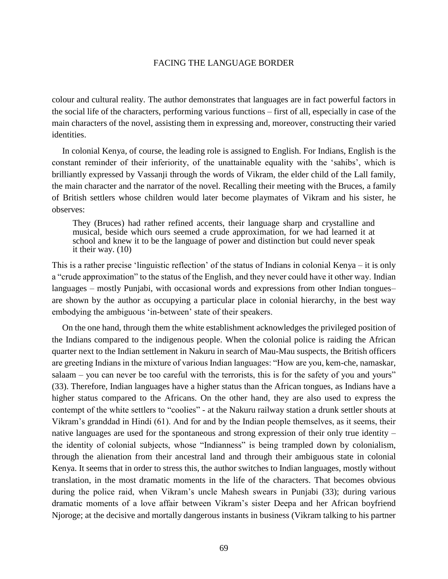colour and cultural reality. The author demonstrates that languages are in fact powerful factors in the social life of the characters, performing various functions – first of all, especially in case of the main characters of the novel, assisting them in expressing and, moreover, constructing their varied identities.

In colonial Kenya, of course, the leading role is assigned to English. For Indians, English is the constant reminder of their inferiority, of the unattainable equality with the 'sahibs', which is brilliantly expressed by Vassanji through the words of Vikram, the elder child of the Lall family, the main character and the narrator of the novel. Recalling their meeting with the Bruces, a family of British settlers whose children would later become playmates of Vikram and his sister, he observes:

They (Bruces) had rather refined accents, their language sharp and crystalline and musical, beside which ours seemed a crude approximation, for we had learned it at school and knew it to be the language of power and distinction but could never speak it their way. (10)

This is a rather precise 'linguistic reflection' of the status of Indians in colonial Kenya – it is only a "crude approximation" to the status of the English, and they never could have it other way. Indian languages – mostly Punjabi, with occasional words and expressions from other Indian tongues– are shown by the author as occupying a particular place in colonial hierarchy, in the best way embodying the ambiguous 'in-between' state of their speakers.

On the one hand, through them the white establishment acknowledges the privileged position of the Indians compared to the indigenous people. When the colonial police is raiding the African quarter next to the Indian settlement in Nakuru in search of Mau-Mau suspects, the British officers are greeting Indians in the mixture of various Indian languages: "How are you, kem-che, namaskar, salaam – you can never be too careful with the terrorists, this is for the safety of you and yours" (33). Therefore, Indian languages have a higher status than the African tongues, as Indians have a higher status compared to the Africans. On the other hand, they are also used to express the contempt of the white settlers to "coolies" - at the Nakuru railway station a drunk settler shouts at Vikram's granddad in Hindi (61). And for and by the Indian people themselves, as it seems, their native languages are used for the spontaneous and strong expression of their only true identity – the identity of colonial subjects, whose "Indianness" is being trampled down by colonialism, through the alienation from their ancestral land and through their ambiguous state in colonial Kenya. It seems that in order to stress this, the author switches to Indian languages, mostly without translation, in the most dramatic moments in the life of the characters. That becomes obvious during the police raid, when Vikram's uncle Mahesh swears in Punjabi (33); during various dramatic moments of a love affair between Vikram's sister Deepa and her African boyfriend Njoroge; at the decisive and mortally dangerous instants in business (Vikram talking to his partner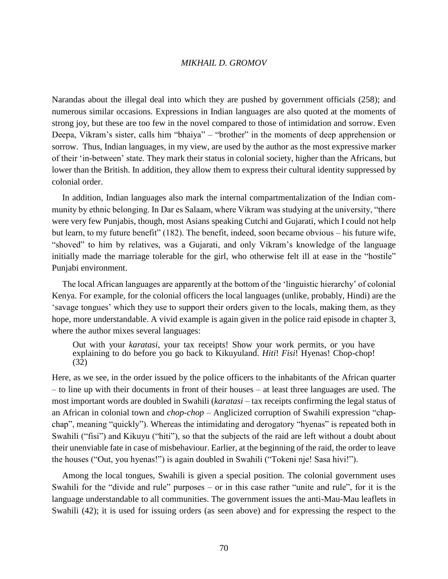Narandas about the illegal deal into which they are pushed by government officials (258); and numerous similar occasions. Expressions in Indian languages are also quoted at the moments of strong joy, but these are too few in the novel compared to those of intimidation and sorrow. Even Deepa, Vikram's sister, calls him "bhaiya" – "brother" in the moments of deep apprehension or sorrow. Thus, Indian languages, in my view, are used by the author as the most expressive marker of their 'in-between' state. They mark their status in colonial society, higher than the Africans, but lower than the British. In addition, they allow them to express their cultural identity suppressed by colonial order.

In addition, Indian languages also mark the internal compartmentalization of the Indian community by ethnic belonging. In Dar es Salaam, where Vikram was studying at the university, "there were very few Punjabis, though, most Asians speaking Cutchi and Gujarati, which I could not help but learn, to my future benefit" (182). The benefit, indeed, soon became obvious – his future wife, "shoved" to him by relatives, was a Gujarati, and only Vikram's knowledge of the language initially made the marriage tolerable for the girl, who otherwise felt ill at ease in the "hostile" Punjabi environment.

The local African languages are apparently at the bottom of the 'linguistic hierarchy' of colonial Kenya. For example, for the colonial officers the local languages (unlike, probably, Hindi) are the 'savage tongues' which they use to support their orders given to the locals, making them, as they hope, more understandable. A vivid example is again given in the police raid episode in chapter 3, where the author mixes several languages:

Out with your *karatasi*, your tax receipts! Show your work permits, or you have explaining to do before you go back to Kikuyuland. *Hiti*! *Fisi*! Hyenas! Chop-chop! (32)

Here, as we see, in the order issued by the police officers to the inhabitants of the African quarter – to line up with their documents in front of their houses – at least three languages are used. The most important words are doubled in Swahili (*karatasi* – tax receipts confirming the legal status of an African in colonial town and *chop-chop* – Anglicized corruption of Swahili expression "chapchap", meaning "quickly"). Whereas the intimidating and derogatory "hyenas" is repeated both in Swahili ("fisi") and Kikuyu ("hiti"), so that the subjects of the raid are left without a doubt about their unenviable fate in case of misbehaviour. Earlier, at the beginning of the raid, the order to leave the houses ("Out, you hyenas!") is again doubled in Swahili ("Tokeni nje! Sasa hivi!").

Among the local tongues, Swahili is given a special position. The colonial government uses Swahili for the "divide and rule" purposes – or in this case rather "unite and rule", for it is the language understandable to all communities. The government issues the anti-Mau-Mau leaflets in Swahili (42); it is used for issuing orders (as seen above) and for expressing the respect to the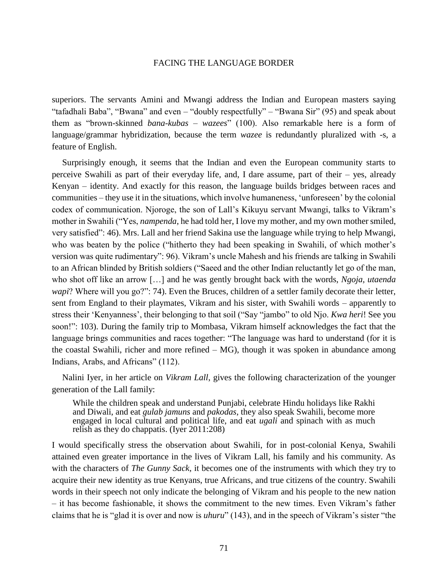superiors. The servants Amini and Mwangi address the Indian and European masters saying "tafadhali Baba", "Bwana" and even – "doubly respectfully" – "Bwana Sir" (95) and speak about them as "brown-skinned *bana-kubas* – *wazees*" (100). Also remarkable here is a form of language/grammar hybridization, because the term *wazee* is redundantly pluralized with -s, a feature of English.

Surprisingly enough, it seems that the Indian and even the European community starts to perceive Swahili as part of their everyday life, and, I dare assume, part of their – yes, already Kenyan – identity. And exactly for this reason, the language builds bridges between races and communities – they use it in the situations, which involve humaneness, 'unforeseen' by the colonial codex of communication. Njoroge, the son of Lall's Kikuyu servant Mwangi, talks to Vikram's mother in Swahili ("Yes, *nampenda*, he had told her, I love my mother, and my own mother smiled, very satisfied": 46). Mrs. Lall and her friend Sakina use the language while trying to help Mwangi, who was beaten by the police ("hitherto they had been speaking in Swahili, of which mother's version was quite rudimentary": 96). Vikram's uncle Mahesh and his friends are talking in Swahili to an African blinded by British soldiers ("Saeed and the other Indian reluctantly let go of the man, who shot off like an arrow […] and he was gently brought back with the words, *Ngoja, utaenda wapi*? Where will you go?": 74). Even the Bruces, children of a settler family decorate their letter, sent from England to their playmates, Vikram and his sister, with Swahili words – apparently to stress their 'Kenyanness', their belonging to that soil ("Say "jambo" to old Njo. *Kwa heri*! See you soon!": 103). During the family trip to Mombasa, Vikram himself acknowledges the fact that the language brings communities and races together: "The language was hard to understand (for it is the coastal Swahili, richer and more refined – MG), though it was spoken in abundance among Indians, Arabs, and Africans" (112).

Nalini Iyer, in her article on *Vikram Lall*, gives the following characterization of the younger generation of the Lall family:

While the children speak and understand Punjabi, celebrate Hindu holidays like Rakhi and Diwali, and eat *gulab jamuns* and *pakodas*, they also speak Swahili, become more engaged in local cultural and political life, and eat *ugali* and spinach with as much relish as they do chappatis. (Iyer 2011:208)

I would specifically stress the observation about Swahili, for in post-colonial Kenya, Swahili attained even greater importance in the lives of Vikram Lall, his family and his community. As with the characters of *The Gunny Sack*, it becomes one of the instruments with which they try to acquire their new identity as true Kenyans, true Africans, and true citizens of the country. Swahili words in their speech not only indicate the belonging of Vikram and his people to the new nation – it has become fashionable, it shows the commitment to the new times. Even Vikram's father claims that he is "glad it is over and now is *uhuru*" (143), and in the speech of Vikram's sister "the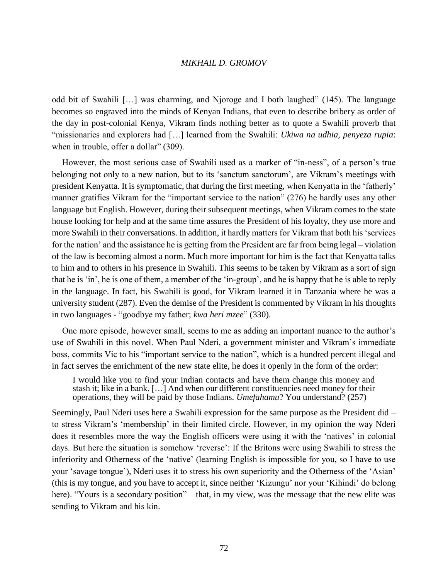odd bit of Swahili […] was charming, and Njoroge and I both laughed" (145). The language becomes so engraved into the minds of Kenyan Indians, that even to describe bribery as order of the day in post-colonial Kenya, Vikram finds nothing better as to quote a Swahili proverb that "missionaries and explorers had […] learned from the Swahili: *Ukiwa na udhia, penyeza rupia*: when in trouble, offer a dollar" (309).

However, the most serious case of Swahili used as a marker of "in-ness", of a person's true belonging not only to a new nation, but to its 'sanctum sanctorum', are Vikram's meetings with president Kenyatta. It is symptomatic, that during the first meeting, when Kenyatta in the 'fatherly' manner gratifies Vikram for the "important service to the nation" (276) he hardly uses any other language but English. However, during their subsequent meetings, when Vikram comes to the state house looking for help and at the same time assures the President of his loyalty, they use more and more Swahili in their conversations. In addition, it hardly matters for Vikram that both his 'services for the nation' and the assistance he is getting from the President are far from being legal – violation of the law is becoming almost a norm. Much more important for him is the fact that Kenyatta talks to him and to others in his presence in Swahili. This seems to be taken by Vikram as a sort of sign that he is 'in', he is one of them, a member of the 'in-group', and he is happy that he is able to reply in the language. In fact, his Swahili is good, for Vikram learned it in Tanzania where he was a university student (287). Even the demise of the President is commented by Vikram in his thoughts in two languages - "goodbye my father; *kwa heri mzee*" (330).

One more episode, however small, seems to me as adding an important nuance to the author's use of Swahili in this novel. When Paul Nderi, a government minister and Vikram's immediate boss, commits Vic to his "important service to the nation", which is a hundred percent illegal and in fact serves the enrichment of the new state elite, he does it openly in the form of the order:

I would like you to find your Indian contacts and have them change this money and stash it; like in a bank. […] And when our different constituencies need money for their operations, they will be paid by those Indians. *Umefahamu*? You understand? (257)

Seemingly, Paul Nderi uses here a Swahili expression for the same purpose as the President did – to stress Vikram's 'membership' in their limited circle. However, in my opinion the way Nderi does it resembles more the way the English officers were using it with the 'natives' in colonial days. But here the situation is somehow 'reverse': If the Britons were using Swahili to stress the inferiority and Otherness of the 'native' (learning English is impossible for you, so I have to use your 'savage tongue'), Nderi uses it to stress his own superiority and the Otherness of the 'Asian' (this is my tongue, and you have to accept it, since neither 'Kizungu' nor your 'Kihindi' do belong here). "Yours is a secondary position" – that, in my view, was the message that the new elite was sending to Vikram and his kin.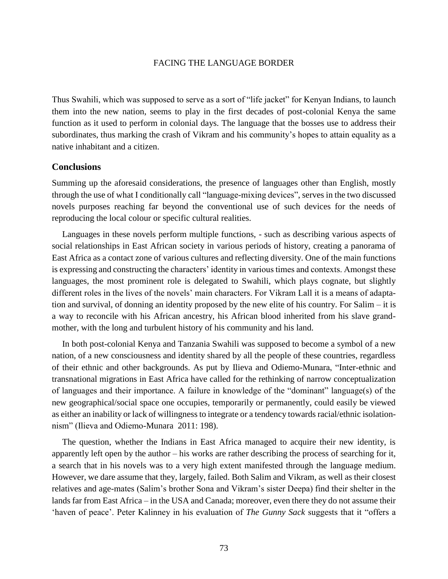Thus Swahili, which was supposed to serve as a sort of "life jacket" for Kenyan Indians, to launch them into the new nation, seems to play in the first decades of post-colonial Kenya the same function as it used to perform in colonial days. The language that the bosses use to address their subordinates, thus marking the crash of Vikram and his community's hopes to attain equality as a native inhabitant and a citizen.

## **Conclusions**

Summing up the aforesaid considerations, the presence of languages other than English, mostly through the use of what I conditionally call "language-mixing devices", serves in the two discussed novels purposes reaching far beyond the conventional use of such devices for the needs of reproducing the local colour or specific cultural realities.

Languages in these novels perform multiple functions, - such as describing various aspects of social relationships in East African society in various periods of history, creating a panorama of East Africa as a contact zone of various cultures and reflecting diversity. One of the main functions is expressing and constructing the characters' identity in various times and contexts. Amongst these languages, the most prominent role is delegated to Swahili, which plays cognate, but slightly different roles in the lives of the novels' main characters. For Vikram Lall it is a means of adaptation and survival, of donning an identity proposed by the new elite of his country. For Salim – it is a way to reconcile with his African ancestry, his African blood inherited from his slave grandmother, with the long and turbulent history of his community and his land.

In both post-colonial Kenya and Tanzania Swahili was supposed to become a symbol of a new nation, of a new consciousness and identity shared by all the people of these countries, regardless of their ethnic and other backgrounds. As put by Ilieva and Odiemo-Munara, "Inter-ethnic and transnational migrations in East Africa have called for the rethinking of narrow conceptualization of languages and their importance. A failure in knowledge of the "dominant" language(s) of the new geographical/social space one occupies, temporarily or permanently, could easily be viewed as either an inability or lack of willingness to integrate or a tendency towards racial/ethnic isolationnism" (Ilieva and Odiemo-Munara 2011: 198).

The question, whether the Indians in East Africa managed to acquire their new identity, is apparently left open by the author – his works are rather describing the process of searching for it, a search that in his novels was to a very high extent manifested through the language medium. However, we dare assume that they, largely, failed. Both Salim and Vikram, as well as their closest relatives and age-mates (Salim's brother Sona and Vikram's sister Deepa) find their shelter in the lands far from East Africa – in the USA and Canada; moreover, even there they do not assume their 'haven of peace'. Peter Kalinney in his evaluation of *The Gunny Sack* suggests that it "offers a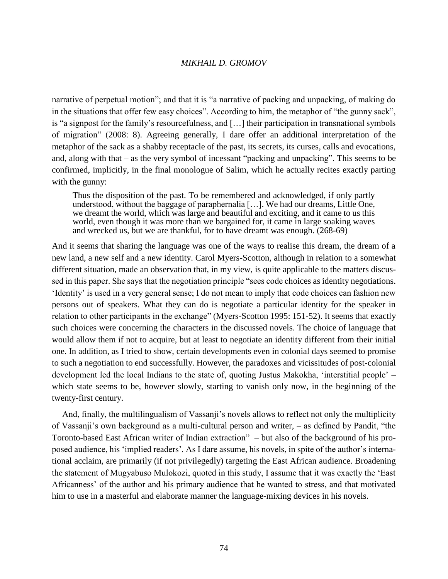narrative of perpetual motion"; and that it is "a narrative of packing and unpacking, of making do in the situations that offer few easy choices". According to him, the metaphor of "the gunny sack", is "a signpost for the family's resourcefulness, and […] their participation in transnational symbols of migration" (2008: 8). Agreeing generally, I dare offer an additional interpretation of the metaphor of the sack as a shabby receptacle of the past, its secrets, its curses, calls and evocations, and, along with that – as the very symbol of incessant "packing and unpacking". This seems to be confirmed, implicitly, in the final monologue of Salim, which he actually recites exactly parting with the gunny:

Thus the disposition of the past. To be remembered and acknowledged, if only partly understood, without the baggage of paraphernalia […]. We had our dreams, Little One, we dreamt the world, which was large and beautiful and exciting, and it came to us this world, even though it was more than we bargained for, it came in large soaking waves and wrecked us, but we are thankful, for to have dreamt was enough. (268-69)

And it seems that sharing the language was one of the ways to realise this dream, the dream of a new land, a new self and a new identity. Carol Myers-Scotton, although in relation to a somewhat different situation, made an observation that, in my view, is quite applicable to the matters discussed in this paper. She says that the negotiation principle "sees code choices as identity negotiations. 'Identity' is used in a very general sense; I do not mean to imply that code choices can fashion new persons out of speakers. What they can do is negotiate a particular identity for the speaker in relation to other participants in the exchange" (Myers-Scotton 1995: 151-52). It seems that exactly such choices were concerning the characters in the discussed novels. The choice of language that would allow them if not to acquire, but at least to negotiate an identity different from their initial one. In addition, as I tried to show, certain developments even in colonial days seemed to promise to such a negotiation to end successfully. However, the paradoxes and vicissitudes of post-colonial development led the local Indians to the state of, quoting Justus Makokha, 'interstitial people' – which state seems to be, however slowly, starting to vanish only now, in the beginning of the twenty-first century.

And, finally, the multilingualism of Vassanji's novels allows to reflect not only the multiplicity of Vassanji's own background as a multi-cultural person and writer, – as defined by Pandit, "the Toronto-based East African writer of Indian extraction" – but also of the background of his proposed audience, his 'implied readers'. As I dare assume, his novels, in spite of the author's international acclaim, are primarily (if not privilegedly) targeting the East African audience. Broadening the statement of Mugyabuso Mulokozi, quoted in this study, I assume that it was exactly the 'East Africanness' of the author and his primary audience that he wanted to stress, and that motivated him to use in a masterful and elaborate manner the language-mixing devices in his novels.